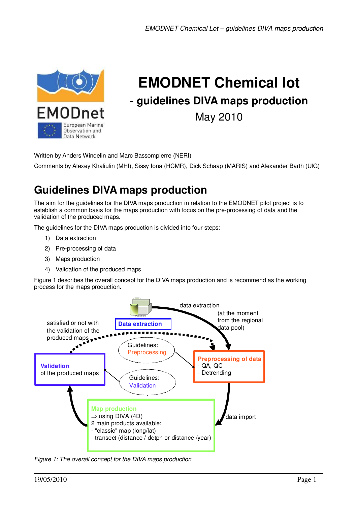

# **EMODNET Chemical lot - guidelines DIVA maps production** May 2010

Written by Anders Windelin and Marc Bassompierre (NERI)

Comments by Alexey Khaliulin (MHI), Sissy Iona (HCMR), Dick Schaap (MARIS) and Alexander Barth (UlG)

## **Guidelines DIVA maps production**

The aim for the guidelines for the DIVA maps production in relation to the EMODNET pilot project is to establish a common basis for the maps production with focus on the pre-processing of data and the validation of the produced maps.

The guidelines for the DIVA maps production is divided into four steps:

- 1) Data extraction
- 2) Pre-processing of data
- 3) Maps production
- 4) Validation of the produced maps

Figure 1 describes the overall concept for the DIVA maps production and is recommend as the working process for the maps production.



*Figure 1: The overall concept for the DIVA maps production*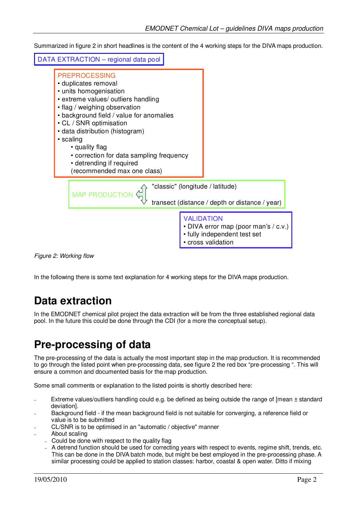Summarized in figure 2 in short headlines is the content of the 4 working steps for the DIVA maps production.



*Figure 2: Working flow*

In the following there is some text explanation for 4 working steps for the DIVA maps production.

#### **Data extraction**

In the EMODNET chemical pilot project the data extraction will be from the three established regional data pool. In the future this could be done through the CDI (for a more the conceptual setup).

#### **Pre-processing of data**

The pre-processing of the data is actually the most important step in the map production. It is recommended to go through the listed point when pre-processing data, see figure 2 the red box "pre-processing ". This will ensure a common and documented basis for the map production.

Some small comments or explanation to the listed points is shortly described here:

- Extreme values/outliers handling could e.g. be defined as being outside the range of [mean  $\pm$  standard deviation].
- Background field if the mean background field is not suitable for converging, a reference field or value is to be submitted
- CL/SNR is to be optimised in an "automatic / objective" manner
- About scaling
	- Could be done with respect to the quality flag
	- A detrend function should be used for correcting years with respect to events, regime shift, trends, etc. This can be done in the DIVA batch mode, but might be best employed in the pre-processing phase. A similar processing could be applied to station classes: harbor, coastal & open water. Ditto if mixing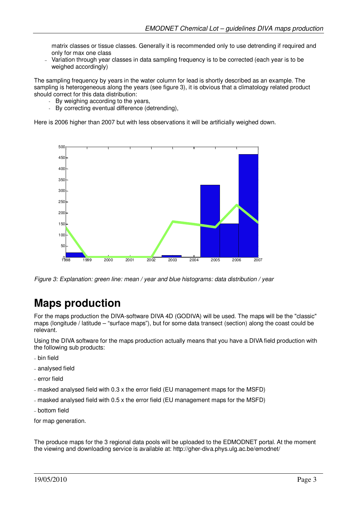matrix classes or tissue classes. Generally it is recommended only to use detrending if required and only for max one class

– Variation through year classes in data sampling frequency is to be corrected (each year is to be weighed accordingly)

The sampling frequency by years in the water column for lead is shortly described as an example. The sampling is heterogeneous along the years (see figure 3), it is obvious that a climatology related product should correct for this data distribution:

- By weighing according to the years,
- By correcting eventual difference (detrending),

Here is 2006 higher than 2007 but with less observations it will be artificially weighed down.



*Figure 3: Explanation: green line: mean / year and blue histograms: data distribution / year*

#### **Maps production**

For the maps production the DIVA-software DIVA 4D (GODIVA) will be used. The maps will be the "classic" maps (longitude / latitude – "surface maps"), but for some data transect (section) along the coast could be relevant.

Using the DIVA software for the maps production actually means that you have a DIVA field production with the following sub products:

- bin field
- analysed field
- error field
- masked analysed field with 0.3 x the error field (EU management maps for the MSFD)
- masked analysed field with 0.5 x the error field (EU management maps for the MSFD)
- bottom field

for map generation.

The produce maps for the 3 regional data pools will be uploaded to the EDMODNET portal. At the moment the viewing and downloading service is available at: http://gher-diva.phys.ulg.ac.be/emodnet/